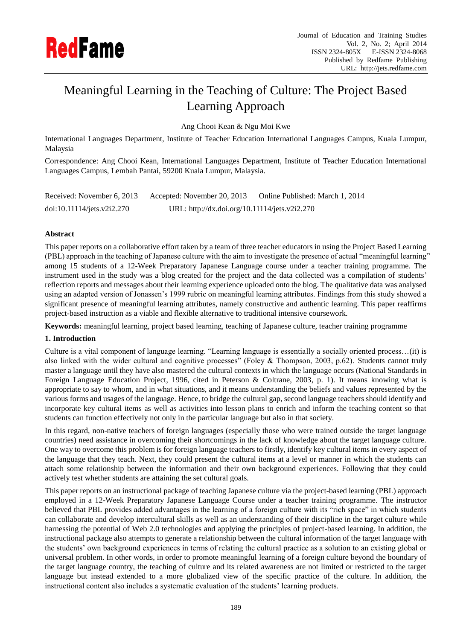

# Meaningful Learning in the Teaching of Culture: The Project Based Learning Approach

Ang Chooi Kean & Ngu Moi Kwe

International Languages Department, Institute of Teacher Education International Languages Campus, Kuala Lumpur, Malaysia

Correspondence: Ang Chooi Kean, International Languages Department, Institute of Teacher Education International Languages Campus, Lembah Pantai, 59200 Kuala Lumpur, Malaysia.

| Received: November 6, 2013 | Accepted: November 20, 2013                   | Online Published: March 1, 2014 |
|----------------------------|-----------------------------------------------|---------------------------------|
| doi:10.11114/jets.v2i2.270 | URL: http://dx.doi.org/10.11114/jets.v2i2.270 |                                 |

# **Abstract**

This paper reports on a collaborative effort taken by a team of three teacher educators in using the Project Based Learning (PBL) approach in the teaching of Japanese culture with the aim to investigate the presence of actual "meaningful learning" among 15 students of a 12-Week Preparatory Japanese Language course under a teacher training programme. The instrument used in the study was a blog created for the project and the data collected was a compilation of students' reflection reports and messages about their learning experience uploaded onto the blog. The qualitative data was analysed using an adapted version of Jonassen's 1999 rubric on meaningful learning attributes. Findings from this study showed a significant presence of meaningful learning attributes, namely constructive and authentic learning. This paper reaffirms project-based instruction as a viable and flexible alternative to traditional intensive coursework.

**Keywords:** meaningful learning, project based learning, teaching of Japanese culture, teacher training programme

# **1. Introduction**

Culture is a vital component of language learning. "Learning language is essentially a socially oriented process…(it) is also linked with the wider cultural and cognitive processes" (Foley & Thompson, 2003, p.62). Students cannot truly master a language until they have also mastered the cultural contexts in which the language occurs (National Standards in Foreign Language Education Project, 1996, cited in Peterson & Coltrane, 2003, p. 1). It means knowing what is appropriate to say to whom, and in what situations, and it means understanding the beliefs and values represented by the various forms and usages of the language. Hence, to bridge the cultural gap, second language teachers should identify and incorporate key cultural items as well as activities into lesson plans to enrich and inform the teaching content so that students can function effectively not only in the particular language but also in that society.

In this regard, non-native teachers of foreign languages (especially those who were trained outside the target language countries) need assistance in overcoming their shortcomings in the lack of knowledge about the target language culture. One way to overcome this problem is for foreign language teachers to firstly, identify key cultural items in every aspect of the language that they teach. Next, they could present the cultural items at a level or manner in which the students can attach some relationship between the information and their own background experiences. Following that they could actively test whether students are attaining the set cultural goals.

This paper reports on an instructional package of teaching Japanese culture via the project-based learning (PBL) approach employed in a 12-Week Preparatory Japanese Language Course under a teacher training programme. The instructor believed that PBL provides added advantages in the learning of a foreign culture with its "rich space" in which students can collaborate and develop intercultural skills as well as an understanding of their discipline in the target culture while harnessing the potential of Web 2.0 technologies and applying the principles of project-based learning. In addition, the instructional package also attempts to generate a relationship between the cultural information of the target language with the students' own background experiences in terms of relating the cultural practice as a solution to an existing global or universal problem. In other words, in order to promote meaningful learning of a foreign culture beyond the boundary of the target language country, the teaching of culture and its related awareness are not limited or restricted to the target language but instead extended to a more globalized view of the specific practice of the culture. In addition, the instructional content also includes a systematic evaluation of the students' learning products.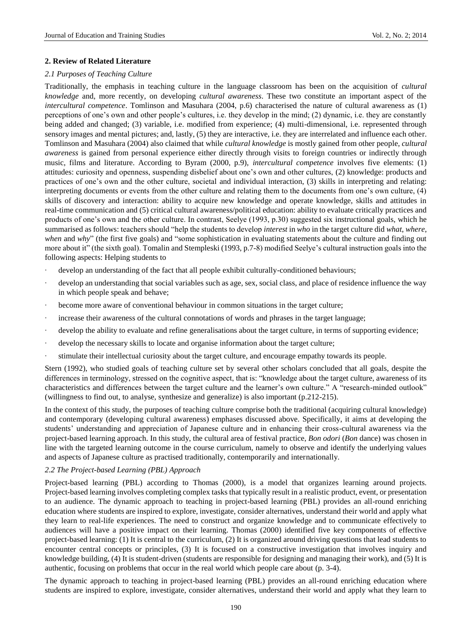#### **2. Review of Related Literature**

#### *2.1 Purposes of Teaching Culture*

Traditionally, the emphasis in teaching culture in the language classroom has been on the acquisition of *cultural knowledge* and, more recently, on developing *cultural awareness*. These two constitute an important aspect of the *intercultural competence*. Tomlinson and Masuhara (2004, p.6) characterised the nature of cultural awareness as (1) perceptions of one's own and other people's cultures, i.e. they develop in the mind; (2) dynamic, i.e. they are constantly being added and changed; (3) variable, i.e. modified from experience; (4) multi-dimensional, i.e. represented through sensory images and mental pictures; and, lastly, (5) they are interactive, i.e. they are interrelated and influence each other. Tomlinson and Masuhara (2004) also claimed that while *cultural knowledge* is mostly gained from other people, *cultural awareness* is gained from personal experience either directly through visits to foreign countries or indirectly through music, films and literature. According to Byram (2000, p.9), *intercultural competence* involves five elements: (1) attitudes: curiosity and openness, suspending disbelief about one's own and other cultures, (2) knowledge: products and practices of one's own and the other culture, societal and individual interaction, (3) skills in interpreting and relating: interpreting documents or events from the other culture and relating them to the documents from one's own culture, (4) skills of discovery and interaction: ability to acquire new knowledge and operate knowledge, skills and attitudes in real-time communication and (5) critical cultural awareness/political education: ability to evaluate critically practices and products of one's own and the other culture. In contrast, Seelye (1993, p.30) suggested six instructional goals, which he summarised as follows: teachers should "help the students to develop *interest* in *who* in the target culture did *what*, *where*, *when* and *why*" (the first five goals) and "some sophistication in evaluating statements about the culture and finding out more about it" (the sixth goal). Tomalin and Stempleski (1993, p.7-8) modified Seelye's cultural instruction goals into the following aspects: Helping students to

- ∙ develop an understanding of the fact that all people exhibit culturally-conditioned behaviours;
- ∙ develop an understanding that social variables such as age, sex, social class, and place of residence influence the way in which people speak and behave;
- ∙ become more aware of conventional behaviour in common situations in the target culture;
- ∙ increase their awareness of the cultural connotations of words and phrases in the target language;
- ∙ develop the ability to evaluate and refine generalisations about the target culture, in terms of supporting evidence;
- ∙ develop the necessary skills to locate and organise information about the target culture;
- ∙ stimulate their intellectual curiosity about the target culture, and encourage empathy towards its people.

Stern (1992), who studied goals of teaching culture set by several other scholars concluded that all goals, despite the differences in terminology, stressed on the cognitive aspect, that is: "knowledge about the target culture, awareness of its characteristics and differences between the target culture and the learner's own culture." A "research-minded outlook" (willingness to find out, to analyse, synthesize and generalize) is also important (p.212-215).

In the context of this study, the purposes of teaching culture comprise both the traditional (acquiring cultural knowledge) and contemporary (developing cultural awareness) emphases discussed above. Specifically, it aims at developing the students' understanding and appreciation of Japanese culture and in enhancing their cross-cultural awareness via the project-based learning approach. In this study, the cultural area of festival practice, *Bon odori* (*Bon* dance) was chosen in line with the targeted learning outcome in the course curriculum, namely to observe and identify the underlying values and aspects of Japanese culture as practised traditionally, contemporarily and internationally.

#### *2.2 The Project-based Learning (PBL) Approach*

Project-based learning (PBL) according to Thomas (2000), is a model that organizes learning around projects. Project-based learning involves completing complex tasks that typically result in a realistic product, event, or presentation to an audience. The dynamic approach to teaching in project-based learning (PBL) provides an all-round enriching education where students are inspired to explore, investigate, consider alternatives, understand their world and apply what they learn to real-life experiences. The need to construct and organize knowledge and to communicate effectively to audiences will have a positive impact on their learning. Thomas (2000) identified five key components of effective project-based learning: (1) It is central to the curriculum, (2) It is organized around driving questions that lead students to encounter central concepts or principles, (3) It is focused on a constructive investigation that involves inquiry and knowledge building, (4) It is student-driven (students are responsible for designing and managing their work), and (5) It is authentic, focusing on problems that occur in the real world which people care about (p. 3-4).

The dynamic approach to teaching in project-based learning (PBL) provides an all-round enriching education where students are inspired to explore, investigate, consider alternatives, understand their world and apply what they learn to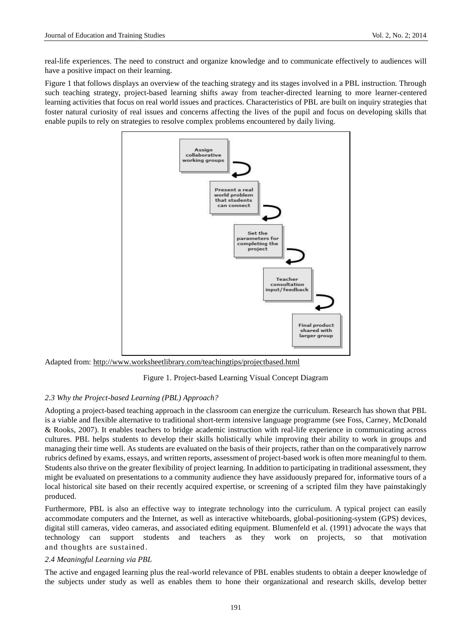real-life experiences. The need to construct and organize knowledge and to communicate effectively to audiences will have a positive impact on their learning.

Figure 1 that follows displays an overview of the teaching strategy and its stages involved in a PBL instruction. Through such teaching strategy, project-based learning shifts away from teacher-directed learning to more learner-centered learning activities that focus on real world issues and practices. Characteristics of PBL are built on inquiry strategies that foster natural curiosity of real issues and concerns affecting the lives of the pupil and focus on developing skills that enable pupils to rely on strategies to resolve complex problems encountered by daily living.



Adapted from: <http://www.worksheetlibrary.com/teachingtips/projectbased.html>

Figure 1. Project-based Learning Visual Concept Diagram

## *2.3 Why the Project-based Learning (PBL) Approach?*

Adopting a project-based teaching approach in the classroom can energize the curriculum. Research has shown that PBL is a viable and flexible alternative to traditional short-term intensive language programme (see Foss, Carney, McDonald & Rooks, 2007). It enables teachers to bridge academic instruction with real-life experience in communicating across cultures. PBL helps students to develop their skills holistically while improving their ability to work in groups and managing their time well. As students are evaluated on the basis of their projects, rather than on the comparatively narrow rubrics defined by exams, essays, and written reports, assessment of project-based work is often more meaningful to them. Students also thrive on the greater flexibility of project learning. In addition to participating in traditional assessment, they might be evaluated on presentations to a community audience they have assiduously prepared for, informative tours of a local historical site based on their recently acquired expertise, or screening of a scripted film they have painstakingly produced.

Furthermore, PBL is also an effective way to integrate technology into the curriculum. A typical project can easily accommodate computers and the Internet, as well as interactive whiteboards, global-positioning-system (GPS) devices, digital still cameras, video cameras, and associated editing equipment. Blumenfeld et al. (1991) advocate the ways that technology can support students and teachers as they work on projects, so that motivation and thoughts are sustained.

#### *2.4 Meaningful Learning via PBL*

The active and engaged learning plus the real-world relevance of PBL enables students to obtain a deeper knowledge of the subjects under study as well as enables them to hone their organizational and research skills, develop better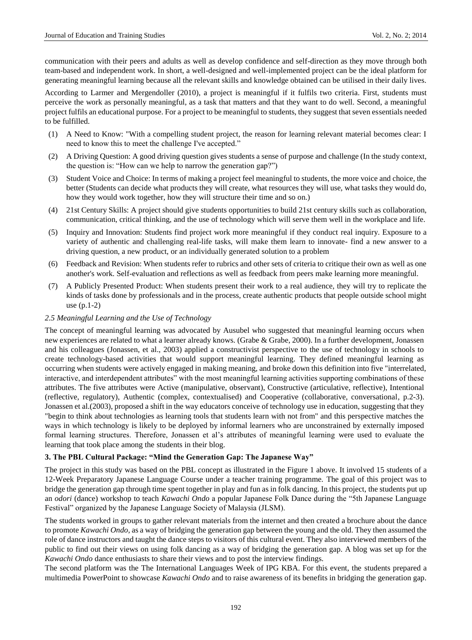communication with their peers and adults as well as develop confidence and self-direction as they move through both team-based and independent work. In short, a well-designed and well-implemented project can be the ideal platform for generating meaningful learning because all the relevant skills and knowledge obtained can be utilised in their daily lives.

According to Larmer and Mergendoller (2010), a project is meaningful if it fulfils two criteria. First, students must perceive the work as personally meaningful, as a task that matters and that they want to do well. Second, a meaningful project fulfils an educational purpose. For a project to be meaningful to students, they suggest that seven essentials needed to be fulfilled.

- (1) A Need to Know: "With a compelling student project, the reason for learning relevant material becomes clear: I need to know this to meet the challenge I've accepted."
- (2) A Driving Question: A good driving question gives students a sense of purpose and challenge (In the study context, the question is: "How can we help to narrow the generation gap?")
- (3) Student Voice and Choice: In terms of making a project feel meaningful to students, the more voice and choice, the better (Students can decide what products they will create, what resources they will use, what tasks they would do, how they would work together, how they will structure their time and so on.)
- (4) 21st Century Skills: A project should give students opportunities to build 21st century skills such as collaboration, communication, critical thinking, and the use of technology which will serve them well in the workplace and life.
- (5) Inquiry and Innovation: Students find project work more meaningful if they conduct real inquiry. Exposure to a variety of authentic and challenging real-life tasks, will make them learn to innovate- find a new answer to a driving question, a new product, or an individually generated solution to a problem
- (6) Feedback and Revision: When students refer to rubrics and other sets of criteria to critique their own as well as one another's work. Self-evaluation and reflections as well as feedback from peers make learning more meaningful.
- (7) A Publicly Presented Product: When students present their work to a real audience, they will try to replicate the kinds of tasks done by professionals and in the process, create authentic products that people outside school might use (p.1-2)

# *2.5 Meaningful Learning and the Use of Technology*

The concept of meaningful learning was advocated by Ausubel who suggested that meaningful learning occurs when new experiences are related to what a learner already knows. (Grabe & Grabe, 2000). In a further development, Jonassen and his colleagues (Jonassen, et al., 2003) applied a constructivist perspective to the use of technology in schools to create technology-based activities that would support meaningful learning. They defined meaningful learning as occurring when students were actively engaged in making meaning, and broke down this definition into five "interrelated, interactive, and interdependent attributes" with the most meaningful learning activities supporting combinations of these attributes. The five attributes were Active (manipulative, observant), Constructive (articulative, reflective), Intentional (reflective, regulatory), Authentic (complex, contextualised) and Cooperative (collaborative, conversational, p.2-3). Jonassen et al.(2003), proposed a shift in the way educators conceive of technology use in education, suggesting that they "begin to think about technologies as learning tools that students learn with not from" and this perspective matches the ways in which technology is likely to be deployed by informal learners who are unconstrained by externally imposed formal learning structures. Therefore, Jonassen et al's attributes of meaningful learning were used to evaluate the learning that took place among the students in their blog.

## **3. The PBL Cultural Package: "Mind the Generation Gap: The Japanese Way"**

The project in this study was based on the PBL concept as illustrated in the Figure 1 above. It involved 15 students of a 12-Week Preparatory Japanese Language Course under a teacher training programme. The goal of this project was to bridge the generation gap through time spent together in play and fun as in folk dancing. In this project, the students put up an *odori* (dance) workshop to teach *Kawachi Ondo* a popular Japanese Folk Dance during the "5th Japanese Language Festival" organized by the Japanese Language Society of Malaysia (JLSM).

The students worked in groups to gather relevant materials from the internet and then created a brochure about the dance to promote *Kawachi Ondo*, as a way of bridging the generation gap between the young and the old. They then assumed the role of dance instructors and taught the dance steps to visitors of this cultural event. They also interviewed members of the public to find out their views on using folk dancing as a way of bridging the generation gap. A blog was set up for the *Kawachi Ondo* dance enthusiasts to share their views and to post the interview findings.

The second platform was the The International Languages Week of IPG KBA. For this event, the students prepared a multimedia PowerPoint to showcase *Kawachi Ondo* and to raise awareness of its benefits in bridging the generation gap.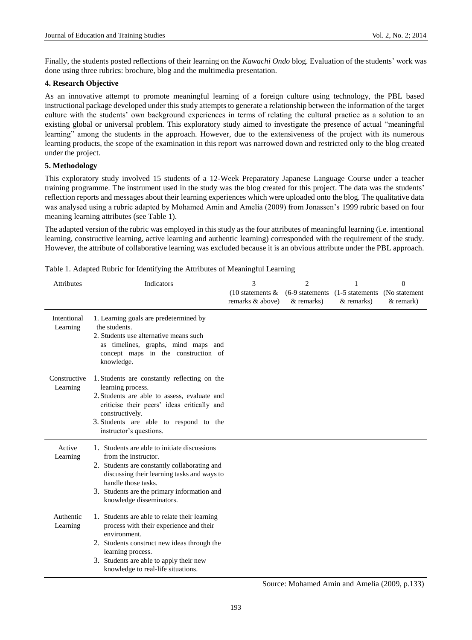Finally, the students posted reflections of their learning on the *Kawachi Ondo* blog. Evaluation of the students' work was done using three rubrics: brochure, blog and the multimedia presentation.

#### **4. Research Objective**

As an innovative attempt to promote meaningful learning of a foreign culture using technology, the PBL based instructional package developed under this study attempts to generate a relationship between the information of the target culture with the students' own background experiences in terms of relating the cultural practice as a solution to an existing global or universal problem. This exploratory study aimed to investigate the presence of actual "meaningful learning" among the students in the approach. However, due to the extensiveness of the project with its numerous learning products, the scope of the examination in this report was narrowed down and restricted only to the blog created under the project.

#### **5. Methodology**

This exploratory study involved 15 students of a 12-Week Preparatory Japanese Language Course under a teacher training programme. The instrument used in the study was the blog created for this project. The data was the students' reflection reports and messages about their learning experiences which were uploaded onto the blog. The qualitative data was analysed using a rubric adapted by Mohamed Amin and Amelia (2009) from Jonassen's 1999 rubric based on four meaning learning attributes (see Table 1).

The adapted version of the rubric was employed in this study as the four attributes of meaningful learning (i.e. intentional learning, constructive learning, active learning and authentic learning) corresponded with the requirement of the study. However, the attribute of collaborative learning was excluded because it is an obvious attribute under the PBL approach.

|  |  | Table 1. Adapted Rubric for Identifying the Attributes of Meaningful Learning |
|--|--|-------------------------------------------------------------------------------|
|  |  |                                                                               |

| <b>Attributes</b>        | Indicators                                                                                                                                                                                                                                                            | 3<br>$(10$ statements &<br>remarks & above) | $\mathfrak{D}$<br>& remarks) | 1<br>$(6-9$ statements $(1-5$ statements (No statement<br>& remarks) | $\Omega$<br>$&$ remark) |
|--------------------------|-----------------------------------------------------------------------------------------------------------------------------------------------------------------------------------------------------------------------------------------------------------------------|---------------------------------------------|------------------------------|----------------------------------------------------------------------|-------------------------|
| Intentional<br>Learning  | 1. Learning goals are predetermined by<br>the students.<br>2. Students use alternative means such<br>as timelines, graphs, mind maps and<br>concept maps in the construction of<br>knowledge.                                                                         |                                             |                              |                                                                      |                         |
| Constructive<br>Learning | 1. Students are constantly reflecting on the<br>learning process.<br>2. Students are able to assess, evaluate and<br>criticise their peers' ideas critically and<br>constructively.<br>3. Students are able to respond to the<br>instructor's questions.              |                                             |                              |                                                                      |                         |
| Active<br>Learning       | 1. Students are able to initiate discussions<br>from the instructor.<br>2. Students are constantly collaborating and<br>discussing their learning tasks and ways to<br>handle those tasks.<br>3. Students are the primary information and<br>knowledge disseminators. |                                             |                              |                                                                      |                         |
| Authentic<br>Learning    | 1. Students are able to relate their learning<br>process with their experience and their<br>environment.<br>2. Students construct new ideas through the<br>learning process.<br>3. Students are able to apply their new<br>knowledge to real-life situations.         |                                             |                              |                                                                      |                         |

Source: Mohamed Amin and Amelia (2009, p.133)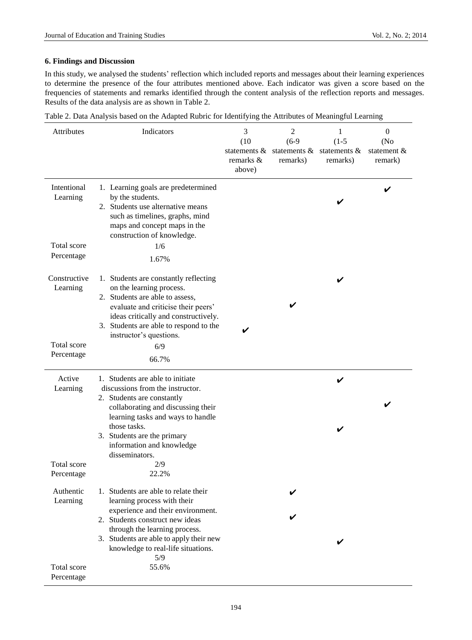## **6. Findings and Discussion**

In this study, we analysed the students' reflection which included reports and messages about their learning experiences to determine the presence of the four attributes mentioned above. Each indicator was given a score based on the frequencies of statements and remarks identified through the content analysis of the reflection reports and messages. Results of the data analysis are as shown in Table 2.

Table 2. Data Analysis based on the Adapted Rubric for Identifying the Attributes of Meaningful Learning

| Attributes                | Indicators                                                                                                                                                                                                                                                           | 3<br>(10)<br>statements $\&$<br>remarks & | $\overline{2}$<br>$(6-9)$<br>statements $\&$<br>remarks) | 1<br>$(1-5)$<br>statements &<br>remarks) | $\boldsymbol{0}$<br>(No)<br>statement $&$ |
|---------------------------|----------------------------------------------------------------------------------------------------------------------------------------------------------------------------------------------------------------------------------------------------------------------|-------------------------------------------|----------------------------------------------------------|------------------------------------------|-------------------------------------------|
|                           |                                                                                                                                                                                                                                                                      | above)                                    |                                                          |                                          | remark)                                   |
| Intentional<br>Learning   | 1. Learning goals are predetermined<br>by the students.<br>2. Students use alternative means<br>such as timelines, graphs, mind<br>maps and concept maps in the<br>construction of knowledge.                                                                        |                                           |                                                          |                                          |                                           |
| Total score<br>Percentage | 1/6<br>1.67%                                                                                                                                                                                                                                                         |                                           |                                                          |                                          |                                           |
| Constructive<br>Learning  | 1. Students are constantly reflecting<br>on the learning process.<br>2. Students are able to assess,<br>evaluate and criticise their peers'<br>ideas critically and constructively.<br>3. Students are able to respond to the<br>instructor's questions.             | V                                         |                                                          |                                          |                                           |
| Total score<br>Percentage | 6/9<br>66.7%                                                                                                                                                                                                                                                         |                                           |                                                          |                                          |                                           |
| Active<br>Learning        | 1. Students are able to initiate<br>discussions from the instructor.<br>2. Students are constantly<br>collaborating and discussing their<br>learning tasks and ways to handle                                                                                        |                                           |                                                          |                                          |                                           |
|                           | those tasks.<br>3. Students are the primary<br>information and knowledge<br>disseminators.                                                                                                                                                                           |                                           |                                                          |                                          |                                           |
| Total score<br>Percentage | 2/9<br>22.2%                                                                                                                                                                                                                                                         |                                           |                                                          |                                          |                                           |
| Authentic<br>Learning     | 1. Students are able to relate their<br>learning process with their<br>experience and their environment.<br>2. Students construct new ideas<br>through the learning process.<br>3. Students are able to apply their new<br>knowledge to real-life situations.<br>5/9 |                                           |                                                          |                                          |                                           |
| Total score<br>Percentage | 55.6%                                                                                                                                                                                                                                                                |                                           |                                                          |                                          |                                           |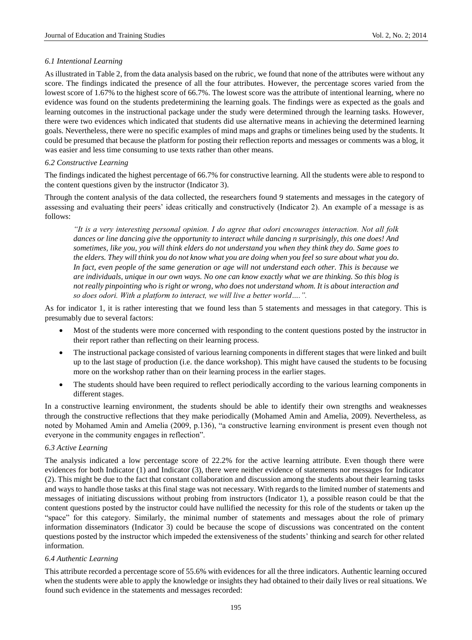# *6.1 Intentional Learning*

As illustrated in Table 2, from the data analysis based on the rubric, we found that none of the attributes were without any score. The findings indicated the presence of all the four attributes. However, the percentage scores varied from the lowest score of 1.67% to the highest score of 66.7%. The lowest score was the attribute of intentional learning, where no evidence was found on the students predetermining the learning goals. The findings were as expected as the goals and learning outcomes in the instructional package under the study were determined through the learning tasks. However, there were two evidences which indicated that students did use alternative means in achieving the determined learning goals. Nevertheless, there were no specific examples of mind maps and graphs or timelines being used by the students. It could be presumed that because the platform for posting their reflection reports and messages or comments was a blog, it was easier and less time consuming to use texts rather than other means.

# *6.2 Constructive Learning*

The findings indicated the highest percentage of 66.7% for constructive learning. All the students were able to respond to the content questions given by the instructor (Indicator 3).

Through the content analysis of the data collected, the researchers found 9 statements and messages in the category of assessing and evaluating their peers' ideas critically and constructively (Indicator 2). An example of a message is as follows:

*"It is a very interesting personal opinion. I do agree that odori encourages interaction. Not all folk dances or line dancing give the opportunity to interact while dancing n surprisingly, this one does! And sometimes, like you, you will think elders do not understand you when they think they do. Same goes to the elders. They will think you do not know what you are doing when you feel so sure about what you do. In fact, even people of the same generation or age will not understand each other. This is because we are individuals, unique in our own ways. No one can know exactly what we are thinking. So this blog is not really pinpointing who is right or wrong, who does not understand whom. It is about interaction and so does odori. With a platform to interact, we will live a better world….".*

As for indicator 1, it is rather interesting that we found less than 5 statements and messages in that category. This is presumably due to several factors:

- Most of the students were more concerned with responding to the content questions posted by the instructor in their report rather than reflecting on their learning process.
- The instructional package consisted of various learning components in different stages that were linked and built up to the last stage of production (i.e. the dance workshop). This might have caused the students to be focusing more on the workshop rather than on their learning process in the earlier stages.
- The students should have been required to reflect periodically according to the various learning components in different stages.

In a constructive learning environment, the students should be able to identify their own strengths and weaknesses through the constructive reflections that they make periodically (Mohamed Amin and Amelia, 2009). Nevertheless, as noted by Mohamed Amin and Amelia (2009, p.136), "a constructive learning environment is present even though not everyone in the community engages in reflection".

## *6.3 Active Learning*

The analysis indicated a low percentage score of 22.2% for the active learning attribute. Even though there were evidences for both Indicator (1) and Indicator (3), there were neither evidence of statements nor messages for Indicator (2). This might be due to the fact that constant collaboration and discussion among the students about their learning tasks and ways to handle those tasks at this final stage was not necessary. With regards to the limited number of statements and messages of initiating discussions without probing from instructors (Indicator 1), a possible reason could be that the content questions posted by the instructor could have nullified the necessity for this role of the students or taken up the "space" for this category. Similarly, the minimal number of statements and messages about the role of primary information disseminators (Indicator 3) could be because the scope of discussions was concentrated on the content questions posted by the instructor which impeded the extensiveness of the students' thinking and search for other related information.

## *6.4 Authentic Learning*

This attribute recorded a percentage score of 55.6% with evidences for all the three indicators. Authentic learning occured when the students were able to apply the knowledge or insights they had obtained to their daily lives or real situations. We found such evidence in the statements and messages recorded: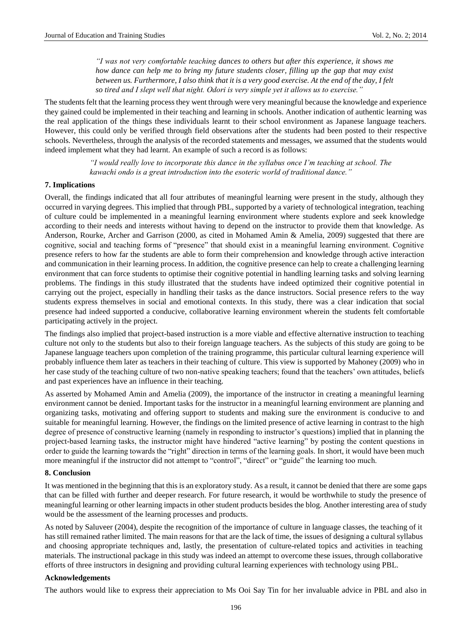*"I was not very comfortable teaching dances to others but after this experience, it shows me how dance can help me to bring my future students closer, filling up the gap that may exist between us. Furthermore, I also think that it is a very good exercise. At the end of the day, I felt so tired and I slept well that night. Odori is very simple yet it allows us to exercise."*

The students felt that the learning process they went through were very meaningful because the knowledge and experience they gained could be implemented in their teaching and learning in schools. Another indication of authentic learning was the real application of the things these individuals learnt to their school environment as Japanese language teachers. However, this could only be verified through field observations after the students had been posted to their respective schools. Nevertheless, through the analysis of the recorded statements and messages, we assumed that the students would indeed implement what they had learnt. An example of such a record is as follows:

> *"I would really love to incorporate this dance in the syllabus once I'm teaching at school. The kawachi ondo is a great introduction into the esoteric world of traditional dance."*

#### **7. Implications**

Overall, the findings indicated that all four attributes of meaningful learning were present in the study, although they occurred in varying degrees. This implied that through PBL, supported by a variety of technological integration, teaching of culture could be implemented in a meaningful learning environment where students explore and seek knowledge according to their needs and interests without having to depend on the instructor to provide them that knowledge. As Anderson, Rourke, Archer and Garrison (2000, as cited in Mohamed Amin & Amelia, 2009) suggested that there are cognitive, social and teaching forms of "presence" that should exist in a meaningful learning environment. Cognitive presence refers to how far the students are able to form their comprehension and knowledge through active interaction and communication in their learning process. In addition, the cognitive presence can help to create a challenging learning environment that can force students to optimise their cognitive potential in handling learning tasks and solving learning problems. The findings in this study illustrated that the students have indeed optimized their cognitive potential in carrying out the project, especially in handling their tasks as the dance instructors. Social presence refers to the way students express themselves in social and emotional contexts. In this study, there was a clear indication that social presence had indeed supported a conducive, collaborative learning environment wherein the students felt comfortable participating actively in the project.

The findings also implied that project-based instruction is a more viable and effective alternative instruction to teaching culture not only to the students but also to their foreign language teachers. As the subjects of this study are going to be Japanese language teachers upon completion of the training programme, this particular cultural learning experience will probably influence them later as teachers in their teaching of culture. This view is supported by Mahoney (2009) who in her case study of the teaching culture of two non-native speaking teachers; found that the teachers' own attitudes, beliefs and past experiences have an influence in their teaching.

As asserted by Mohamed Amin and Amelia (2009), the importance of the instructor in creating a meaningful learning environment cannot be denied. Important tasks for the instructor in a meaningful learning environment are planning and organizing tasks, motivating and offering support to students and making sure the environment is conducive to and suitable for meaningful learning. However, the findings on the limited presence of active learning in contrast to the high degree of presence of constructive learning (namely in responding to instructor's questions) implied that in planning the project-based learning tasks, the instructor might have hindered "active learning" by posting the content questions in order to guide the learning towards the "right" direction in terms of the learning goals. In short, it would have been much more meaningful if the instructor did not attempt to "control", "direct" or "guide" the learning too much.

#### **8. Conclusion**

It was mentioned in the beginning that this is an exploratory study. As a result, it cannot be denied that there are some gaps that can be filled with further and deeper research. For future research, it would be worthwhile to study the presence of meaningful learning or other learning impacts in other student products besides the blog. Another interesting area of study would be the assessment of the learning processes and products.

As noted by Saluveer (2004), despite the recognition of the importance of culture in language classes, the teaching of it has still remained rather limited. The main reasons for that are the lack of time, the issues of designing a cultural syllabus and choosing appropriate techniques and, lastly, the presentation of culture-related topics and activities in teaching materials. The instructional package in this study was indeed an attempt to overcome these issues, through collaborative efforts of three instructors in designing and providing cultural learning experiences with technology using PBL.

#### **Acknowledgements**

The authors would like to express their appreciation to Ms Ooi Say Tin for her invaluable advice in PBL and also in